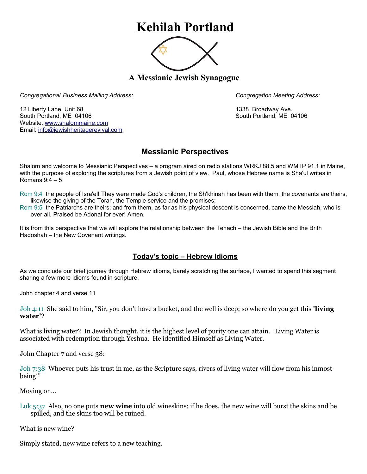## **Kehilah Portland**



**A Messianic Jewish Synagogue** 

*Congregational Business Mailing Address: Congregation Meeting Address:*

12 Liberty Lane, Unit 68 1338 Broadway Ave. South Portland, ME 04106 South Portland, ME 04106 Website: [www.shalommaine.com](http://www.shalommaine.com/) Email: [info@jewishheritagerevival.com](mailto:info@jewishheritagerevival.com) 

## **Messianic Perspectives**

Shalom and welcome to Messianic Perspectives – a program aired on radio stations WRKJ 88.5 and WMTP 91.1 in Maine, with the purpose of exploring the scriptures from a Jewish point of view. Paul, whose Hebrew name is Sha'ul writes in Romans 9:4 – 5:

Rom 9:4 the people of Isra'el! They were made God's children, the Sh'khinah has been with them, the covenants are theirs, likewise the giving of the Torah, the Temple service and the promises;

Rom 9:5 the Patriarchs are theirs; and from them, as far as his physical descent is concerned, came the Messiah, who is over all. Praised be Adonai for ever! Amen.

It is from this perspective that we will explore the relationship between the Tenach – the Jewish Bible and the Brith Hadoshah – the New Covenant writings.

## **Today's topic – Hebrew Idioms**

As we conclude our brief journey through Hebrew idioms, barely scratching the surface, I wanted to spend this segment sharing a few more idioms found in scripture.

John chapter 4 and verse 11

Joh 4:11 She said to him, "Sir, you don't have a bucket, and the well is deep; so where do you get this **'living water'**?

What is living water? In Jewish thought, it is the highest level of purity one can attain. Living Water is associated with redemption through Yeshua. He identified Himself as Living Water.

John Chapter 7 and verse 38:

Joh 7:38 Whoever puts his trust in me, as the Scripture says, rivers of living water will flow from his inmost being!"

Moving on...

Luk 5:37 Also, no one puts **new wine** into old wineskins; if he does, the new wine will burst the skins and be spilled, and the skins too will be ruined.

What is new wine?

Simply stated, new wine refers to a new teaching.